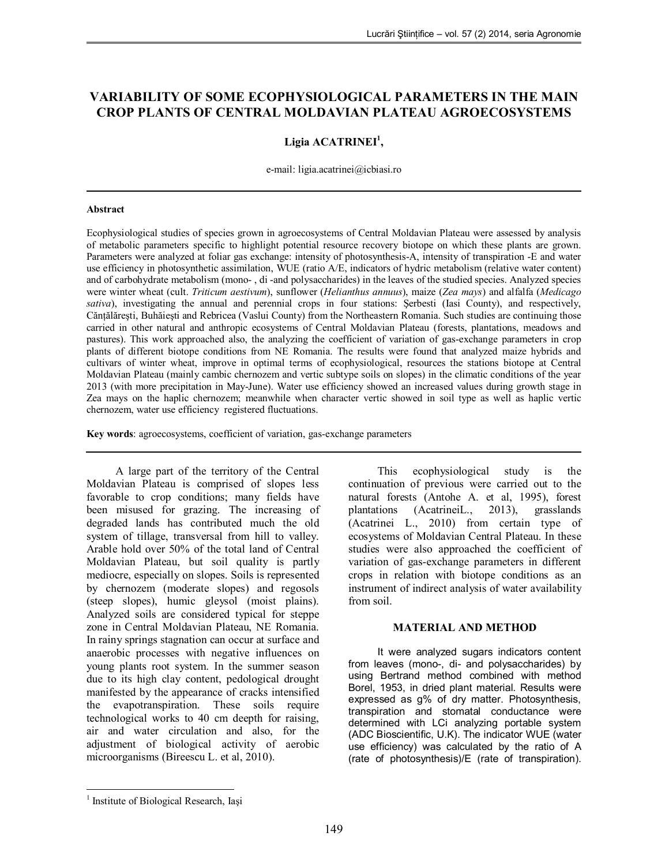# **VARIABILITY OF SOME ECOPHYSIOLOGICAL PARAMETERS IN THE MAIN CROP PLANTS OF CENTRAL MOLDAVIAN PLATEAU AGROECOSYSTEMS**

## **Ligia ACATRINEI<sup>1</sup> ,**

e-mail: ligia.acatrinei@icbiasi.ro

#### **Abstract**

Ecophysiological studies of species grown in agroecosystems of Central Moldavian Plateau were assessed by analysis of metabolic parameters specific to highlight potential resource recovery biotope on which these plants are grown. Parameters were analyzed at foliar gas exchange: intensity of photosynthesis-A, intensity of transpiration -E and water use efficiency in photosynthetic assimilation, WUE (ratio A/E, indicators of hydric metabolism (relative water content) and of carbohydrate metabolism (mono- , di -and polysaccharides) in the leaves of the studied species. Analyzed species were winter wheat (cult. *Triticum aestivum*), sunflower (*Helianthus annuus*), maize (*Zea mays*) and alfalfa (*Medicago sativa*), investigating the annual and perennial crops in four stations: Şerbesti (Iasi County), and respectively, Cănţălăreşti, Buhăieşti and Rebricea (Vaslui County) from the Northeastern Romania. Such studies are continuing those carried in other natural and anthropic ecosystems of Central Moldavian Plateau (forests, plantations, meadows and pastures). This work approached also, the analyzing the coefficient of variation of gas-exchange parameters in crop plants of different biotope conditions from NE Romania. The results were found that analyzed maize hybrids and cultivars of winter wheat, improve in optimal terms of ecophysiological, resources the stations biotope at Central Moldavian Plateau (mainly cambic chernozem and vertic subtype soils on slopes) in the climatic conditions of the year 2013 (with more precipitation in May-June). Water use efficiency showed an increased values during growth stage in Zea mays on the haplic chernozem; meanwhile when character vertic showed in soil type as well as haplic vertic chernozem, water use efficiency registered fluctuations.

**Key words**: agroecosystems, coefficient of variation, gas-exchange parameters

A large part of the territory of the Central Moldavian Plateau is comprised of slopes less favorable to crop conditions; many fields have been misused for grazing. The increasing of degraded lands has contributed much the old system of tillage, transversal from hill to valley. Arable hold over 50% of the total land of Central Moldavian Plateau, but soil quality is partly mediocre, especially on slopes. Soils is represented by chernozem (moderate slopes) and regosols (steep slopes), humic gleysol (moist plains). Analyzed soils are considered typical for steppe zone in Central Moldavian Plateau, NE Romania. In rainy springs stagnation can occur at surface and anaerobic processes with negative influences on young plants root system. In the summer season due to its high clay content, pedological drought manifested by the appearance of cracks intensified the evapotranspiration. These soils require technological works to 40 cm deepth for raising, air and water circulation and also, for the adjustment of biological activity of aerobic microorganisms (Bireescu L. et al, 2010).

This ecophysiological study is the continuation of previous were carried out to the natural forests (Antohe A. et al, 1995), forest plantations (AcatrineiL., 2013), grasslands (Acatrinei L., 2010) from certain type of ecosystems of Moldavian Central Plateau. In these studies were also approached the coefficient of variation of gas-exchange parameters in different crops in relation with biotope conditions as an instrument of indirect analysis of water availability from soil.

#### **MATERIAL AND METHOD**

It were analyzed sugars indicators content from leaves (mono-, di- and polysaccharides) by using Bertrand method combined with method Borel, 1953, in dried plant material. Results were expressed as g% of dry matter. Photosynthesis, transpiration and stomatal conductance were determined with LCi analyzing portable system (ADC Bioscientific, U.K). The indicator WUE (water use efficiency) was calculated by the ratio of A (rate of photosynthesis)/E (rate of transpiration).

 1 Institute of Biological Research, Iaşi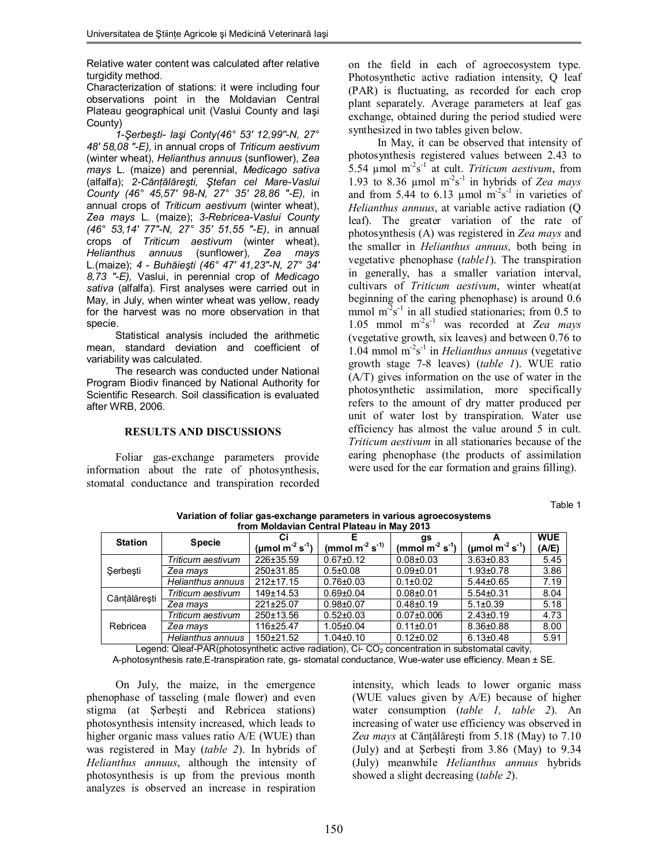Relative water content was calculated after relative turgidity method.

Characterization of stations: it were including four observations point in the Moldavian Central Plateau geographical unit (Vaslui County and Iaşi County)

*1-Şerbeşti- Iaşi Conty(46° 53' 12,99''-N, 27° 48' 58,08 "-E),* in annual crops of *Triticum aestivum* (winter wheat), *Helianthus annuus* (sunflower), *Zea mays* L. (maize) and perennial, *Medicago sativa* (alfalfa); *2-Cănţălăreşti, Ştefan cel Mare-Vaslui County (46° 45,57' 98-N, 27° 35' 28,86 "-E),* in annual crops of *Triticum aestivum* (winter wheat), *Zea mays* L. (maize); *3-Rebricea-Vaslui County (46° 53,14' 77"-N, 27° 35' 51,55 "-E)*, in annual crops of *Triticum aestivum* (winter wheat), *Helianthus annuus* (sunflower), *Zea mays* L.(maize); *4 - Buhăieşti (46° 47' 41,23"-N, 27° 34' 8,73 "-E),* Vaslui, in perennial crop of *Medicago sativa* (alfalfa). First analyses were carried out in May, in July, when winter wheat was yellow, ready for the harvest was no more observation in that specie.

Statistical analysis included the arithmetic mean, standard deviation and coefficient of variability was calculated.

The research was conducted under National Program Biodiv financed by National Authority for Scientific Research. Soil classification is evaluated after WRB, 2006.

## **RESULTS AND DISCUSSIONS**

Foliar gas-exchange parameters provide information about the rate of photosynthesis, stomatal conductance and transpiration recorded on the field in each of agroecosystem type. Photosynthetic active radiation intensity, Q leaf (PAR) is fluctuating, as recorded for each crop plant separately. Average parameters at leaf gas exchange, obtained during the period studied were synthesized in two tables given below.

In May, it can be observed that intensity of photosynthesis registered values between 2.43 to  $5.54 \mu$ mol m<sup>-2</sup>s<sup>-1</sup> at cult. *Triticum aestivum*, from 1.93 to 8.36  $\mu$ mol m<sup>-2</sup>s<sup>-1</sup> in hybrids of *Zea mays* and from 5.44 to 6.13  $\mu$ mol m<sup>2</sup>s<sup>-1</sup> in varieties of *Helianthus annuus*, at variable active radiation (Q leaf). The greater variation of the rate of photosynthesis (A) was registered in *Zea mays* and the smaller in *Helianthus annuus,* both being in vegetative phenophase (*table1*). The transpiration in generally, has a smaller variation interval, cultivars of *Triticum aestivum*, winter wheat(at beginning of the earing phenophase) is around 0.6 mmol  $m^2s^{-1}$  in all studied stationaries; from 0.5 to 1.05 mmol m-2 s -1 was recorded at *Zea mays* (vegetative growth, six leaves) and between 0.76 to 1.04 mmol m-2 s -1 in *Helianthus annuus* (vegetative growth stage 7-8 leaves) (*table 1*). WUE ratio (A/T) gives information on the use of water in the photosynthetic assimilation, more specifically refers to the amount of dry matter produced per unit of water lost by transpiration. Water use efficiency has almost the value around 5 in cult. *Triticum aestivum* in all stationaries because of the earing phenophase (the products of assimilation were used for the ear formation and grains filling).

Table 1

| from Moldavian Central Plateau in May 2013 |                   |                                         |                         |                      |                                               |            |
|--------------------------------------------|-------------------|-----------------------------------------|-------------------------|----------------------|-----------------------------------------------|------------|
| <b>Station</b>                             | <b>Specie</b>     |                                         |                         | gs                   |                                               | <b>WUE</b> |
|                                            |                   | (µmol m <sup>-2</sup> s <sup>-1</sup> ) | (mmol $m^{-2} s^{-1}$ ) | (mmol $m^2 s^{-1}$ ) | ( $\mu$ mol m <sup>-2</sup> s <sup>-1</sup> ) | (A/E)      |
| Şerbeşti                                   | Triticum aestivum | 226±35.59                               | $0.67 + 0.12$           | $0.08 + 0.03$        | $3.63 + 0.83$                                 | 5.45       |
|                                            | Zea mays          | 250±31.85                               | $0.5 \pm 0.08$          | $0.09 + 0.01$        | $1.93 + 0.78$                                 | 3.86       |
|                                            | Helianthus annuus | $212+17.15$                             | $0.76 + 0.03$           | $0.1 \pm 0.02$       | $5.44 \pm 0.65$                               | 7.19       |
| Cănțălărești                               | Triticum aestivum | $149 \pm 14.53$                         | $0.69 + 0.04$           | $0.08 + 0.01$        | $5.54 \pm 0.31$                               | 8.04       |
|                                            | Zea mays          | 221±25.07                               | $0.98 + 0.07$           | $0.48 + 0.19$        | $5.1 \pm 0.39$                                | 5.18       |
| Rebricea                                   | Triticum aestivum | 250±13.56                               | $0.52{\pm}0.03$         | $0.07 \pm 0.006$     | $2.43 \pm 0.19$                               | 4.73       |
|                                            | Zea mays          | 116±25.47                               | $1.05 \pm 0.04$         | $0.11 \pm 0.01$      | $8.36 \pm 0.88$                               | 8.00       |
|                                            | Helianthus annuus | 150±21.52                               | $1.04 \pm 0.10$         | $0.12 \pm 0.02$      | $6.13 \pm 0.48$                               | 5.91       |

**Variation of foliar gas-exchange parameters in various agroecosystems from Moldavian Central Plateau in May 2013**

Legend: Qleaf-PAR(photosynthetic active radiation),  $Ci-CO<sub>2</sub>$  concentration in substomatal cavity,

A-photosynthesis rate,E-transpiration rate, gs- stomatal conductance, Wue-water use efficiency. Mean ± SE.

On July, the maize, in the emergence phenophase of tasseling (male flower) and even stigma (at Şerbeşti and Rebricea stations) photosynthesis intensity increased, which leads to higher organic mass values ratio A/E (WUE) than was registered in May (*table 2*). In hybrids of *Helianthus annuus*, although the intensity of photosynthesis is up from the previous month analyzes is observed an increase in respiration

intensity, which leads to lower organic mass (WUE values given by A/E) because of higher water consumption (*table 1, table 2*). An increasing of water use efficiency was observed in Zea mays at Căntălărești from 5.18 (May) to 7.10 (July) and at Şerbeşti from 3.86 (May) to 9.34 (July) meanwhile *Helianthus annuus* hybrids showed a slight decreasing (*table 2*).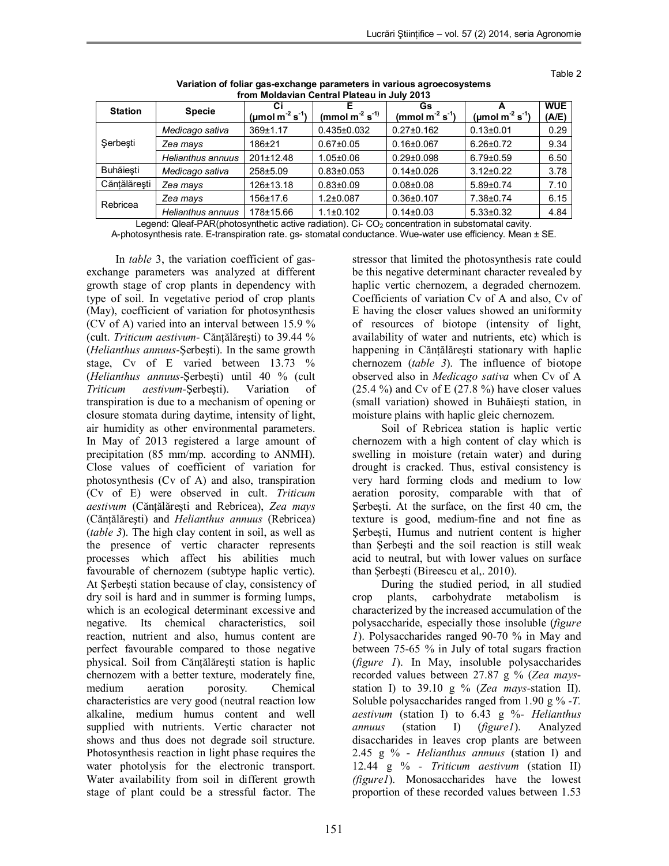Table 2

| $11$ VIII INVIJATIJAII VUIRTAITI KRUGA III VAIVILVI V |                   |                                               |                      |                                        |                             |                     |  |
|-------------------------------------------------------|-------------------|-----------------------------------------------|----------------------|----------------------------------------|-----------------------------|---------------------|--|
| <b>Station</b>                                        | <b>Specie</b>     | Ci<br>(µmol m <sup>-2</sup> s <sup>-1</sup> ) | (mmol $m^2 s^{-1}$ ) | Gs<br>(mmol $m^{-2}$ s <sup>-1</sup> ) | (µmol m $^{-2}$ s $^{-1}$ ) | <b>WUE</b><br>(A/E) |  |
| Serbesti                                              | Medicago sativa   | 369±1.17                                      | $0.435 \pm 0.032$    | $0.27 \pm 0.162$                       | $0.13 \pm 0.01$             | 0.29                |  |
|                                                       | Zea mays          | $186 + 21$                                    | $0.67 \pm 0.05$      | $0.16 \pm 0.067$                       | $6.26 \pm 0.72$             | 9.34                |  |
|                                                       | Helianthus annuus | $201 \pm 12.48$                               | $1.05 \pm 0.06$      | $0.29 \pm 0.098$                       | $6.79 \pm 0.59$             | 6.50                |  |
| <b>Buhăiesti</b>                                      | Medicago sativa   | $258 + 5.09$                                  | $0.83{\pm}0.053$     | $0.14 \pm 0.026$                       | $3.12 \pm 0.22$             | 3.78                |  |
| Cănțălărești                                          | Zea mays          | 126±13.18                                     | $0.83{\pm}0.09$      | $0.08 + 0.08$                          | $5.89 \pm 0.74$             | 7.10                |  |
| Rebricea                                              | Zea mays          | 156±17.6                                      | $1.2 \pm 0.087$      | $0.36 \pm 0.107$                       | 7.38±0.74                   | 6.15                |  |
|                                                       | Helianthus annuus | 178±15.66                                     | $1.1 \pm 0.102$      | $0.14 \pm 0.03$                        | $5.33 \pm 0.32$             | 4.84                |  |

**Variation of foliar gas-exchange parameters in various agroecosystems from Moldavian Central Plateau in July 2013**

Legend: Qleaf-PAR(photosynthetic active radiation). Ci-  $CO<sub>2</sub>$  concentration in substomatal cavity. A-photosynthesis rate. E-transpiration rate. gs- stomatal conductance. Wue-water use efficiency. Mean ± SE.

In *table* 3, the variation coefficient of gasexchange parameters was analyzed at different growth stage of crop plants in dependency with type of soil. In vegetative period of crop plants (May), coefficient of variation for photosynthesis (CV of A) varied into an interval between 15.9 % (cult. *Triticum aestivum*- Cănţălăreşti) to 39.44 % (*Helianthus annuus*-Şerbeşti). In the same growth stage, Cv of E varied between 13.73 % (*Helianthus annuus*-Şerbeşti) until 40 % (cult *Triticum aestivum*-Şerbeşti). Variation of transpiration is due to a mechanism of opening or closure stomata during daytime, intensity of light, air humidity as other environmental parameters. In May of 2013 registered a large amount of precipitation (85 mm/mp. according to ANMH). Close values of coefficient of variation for photosynthesis (Cv of A) and also, transpiration (Cv of E) were observed in cult. *Triticum aestivum* (Cănţălăreşti and Rebricea), *Zea mays* (Căntălărești) and *Helianthus annuus* (Rebricea) (*table 3*). The high clay content in soil, as well as the presence of vertic character represents processes which affect his abilities much favourable of chernozem (subtype haplic vertic). At Şerbeşti station because of clay, consistency of dry soil is hard and in summer is forming lumps, which is an ecological determinant excessive and negative. Its chemical characteristics, soil reaction, nutrient and also, humus content are perfect favourable compared to those negative physical. Soil from Cănţălăreşti station is haplic chernozem with a better texture, moderately fine, medium aeration porosity. Chemical characteristics are very good (neutral reaction low alkaline, medium humus content and well supplied with nutrients. Vertic character not shows and thus does not degrade soil structure. Photosynthesis reaction in light phase requires the water photolysis for the electronic transport. Water availability from soil in different growth stage of plant could be a stressful factor. The

stressor that limited the photosynthesis rate could be this negative determinant character revealed by haplic vertic chernozem, a degraded chernozem. Coefficients of variation Cv of A and also, Cv of E having the closer values showed an uniformity of resources of biotope (intensity of light, availability of water and nutrients, etc) which is happening in Cănţălăreşti stationary with haplic chernozem (*table 3*). The influence of biotope observed also in *Medicago sativa* when Cv of A  $(25.4 \%)$  and Cv of E  $(27.8 \%)$  have closer values (small variation) showed in Buhăieşti station, in moisture plains with haplic gleic chernozem.

Soil of Rebricea station is haplic vertic chernozem with a high content of clay which is swelling in moisture (retain water) and during drought is cracked. Thus, estival consistency is very hard forming clods and medium to low aeration porosity, comparable with that of Şerbeşti. At the surface, on the first 40 cm, the texture is good, medium-fine and not fine as Şerbeşti, Humus and nutrient content is higher than Şerbeşti and the soil reaction is still weak acid to neutral, but with lower values on surface than Şerbeşti (Bireescu et al,. 2010).

During the studied period, in all studied crop plants, carbohydrate metabolism is characterized by the increased accumulation of the polysaccharide, especially those insoluble (*figure 1*). Polysaccharides ranged 90-70 % in May and between 75-65 % in July of total sugars fraction (*figure 1*). In May, insoluble polysaccharides recorded values between 27.87 g % (*Zea mays*station I) to 39.10 g % (*Zea mays*-station II). Soluble polysaccharides ranged from 1.90 g % -*T. aestivum* (station I) to 6.43 g %- *Helianthus annuus* (station I) (*figure1*). Analyzed disaccharides in leaves crop plants are between 2.45 g % - *Helianthus annuus* (station I) and 12.44 g % *- Triticum aestivum* (station II) *(figure1*). Monosaccharides have the lowest proportion of these recorded values between 1.53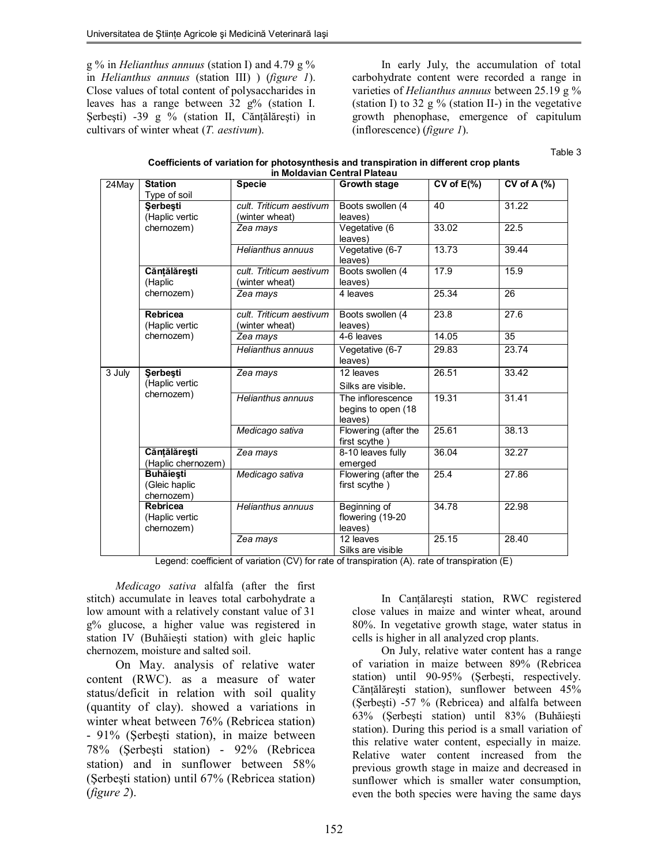g % in *Helianthus annuus* (station I) and 4.79 g % in *Helianthus annuus* (station III) ) (*figure 1*). Close values of total content of polysaccharides in leaves has a range between 32 g% (station I. Serbești) -39 g % (station II, Cănțălărești) in cultivars of winter wheat (*T. aestivum*).

In early July, the accumulation of total carbohydrate content were recorded a range in varieties of *Helianthus annuus* between 25.19 g % (station I) to 32 g  $\%$  (station II-) in the vegetative growth phenophase, emergence of capitulum (inflorescence) (*figure 1*).

Table 3

| Coefficients of variation for photosynthesis and transpiration in different crop plants |
|-----------------------------------------------------------------------------------------|
| in Moldavian Central Plateau                                                            |

| 24May  | <b>Station</b>                           | $\cdots$ $\cdots$<br><b>Specie</b> | <b>Growth stage</b>  | $CV$ of $E(\%)$ | CV of A $(%)$   |
|--------|------------------------------------------|------------------------------------|----------------------|-----------------|-----------------|
|        | Type of soil                             |                                    |                      |                 |                 |
|        | Serbeşti                                 | cult. Triticum aestivum            | Boots swollen (4     | 40              | 31.22           |
|        | (Haplic vertic<br>chernozem)             | (winter wheat)                     | leaves)              |                 |                 |
|        |                                          | Zea mays                           | Vegetative (6        | 33.02           | 22.5            |
|        |                                          |                                    | leaves)              |                 |                 |
|        |                                          | Helianthus annuus                  | Vegetative (6-7      | 13.73           | 39.44           |
|        |                                          |                                    | leaves)              |                 |                 |
|        | Cănțălărești                             | cult. Triticum aestivum            | Boots swollen (4     | 17.9            | 15.9            |
|        | (Haplic                                  | (winter wheat)                     | leaves)              |                 |                 |
|        | chernozem)                               | Zea mays                           | 4 leaves             | 25.34           | 26              |
|        |                                          |                                    |                      |                 |                 |
|        | Rebricea                                 | cult. Triticum aestivum            | Boots swollen (4     | 23.8            | 27.6            |
|        | (Haplic vertic<br>chernozem)             | (winter wheat)                     | leaves)              |                 |                 |
|        |                                          | Zea mays                           | 4-6 leaves           | 14.05           | $\overline{35}$ |
|        |                                          | Helianthus annuus                  | Vegetative (6-7      | 29.83           | 23.74           |
|        |                                          |                                    | leaves)              |                 |                 |
| 3 July | Serbeşti<br>(Haplic vertic<br>chernozem) | Zea mays                           | 12 leaves            | 26.51           | 33.42           |
|        |                                          |                                    | Silks are visible.   |                 |                 |
|        |                                          | Helianthus annuus                  | The inflorescence    | 19.31           | 31.41           |
|        |                                          |                                    | begins to open (18   |                 |                 |
|        |                                          |                                    | leaves)              |                 |                 |
|        |                                          | Medicago sativa                    | Flowering (after the | 25.61           | 38.13           |
|        |                                          |                                    | first scythe)        |                 |                 |
|        | Cănțălărești                             | Zea mays                           | 8-10 leaves fully    | 36.04           | 32.27           |
|        | (Haplic chernozem)                       |                                    | emerged              |                 |                 |
|        | <b>Buhăiești</b>                         | Medicago sativa                    | Flowering (after the | 25.4            | 27.86           |
|        | (Gleic haplic                            |                                    | first scythe)        |                 |                 |
|        | chernozem)                               |                                    |                      |                 |                 |
|        | Rebricea                                 | Helianthus annuus                  | Beginning of         | 34.78           | 22.98           |
|        | (Haplic vertic                           |                                    | flowering (19-20     |                 |                 |
|        | chernozem)                               |                                    | leaves)              |                 |                 |
|        |                                          | Zea mays                           | 12 leaves            | 25.15           | 28.40           |
|        |                                          |                                    | Silks are visible    |                 |                 |

Legend: coefficient of variation (CV) for rate of transpiration (A). rate of transpiration (E)

*Medicago sativa* alfalfa (after the first stitch) accumulate in leaves total carbohydrate a low amount with a relatively constant value of 31 g% glucose, a higher value was registered in station IV (Buhăieşti station) with gleic haplic chernozem, moisture and salted soil.

On May. analysis of relative water content (RWC). as a measure of water status/deficit in relation with soil quality (quantity of clay). showed a variations in winter wheat between 76% (Rebricea station) - 91% (Şerbeşti station), in maize between 78% (Şerbeşti station) - 92% (Rebricea station) and in sunflower between 58% (Şerbeşti station) until 67% (Rebricea station) (*figure 2*).

In Canţălareşti station, RWC registered close values in maize and winter wheat, around 80%. In vegetative growth stage, water status in cells is higher in all analyzed crop plants.

On July, relative water content has a range of variation in maize between 89% (Rebricea station) until 90-95% (Şerbeşti, respectively. Căntălărești station), sunflower between 45% (Şerbeşti) -57 % (Rebricea) and alfalfa between 63% (Şerbeşti station) until 83% (Buhăieşti station). During this period is a small variation of this relative water content, especially in maize. Relative water content increased from the previous growth stage in maize and decreased in sunflower which is smaller water consumption, even the both species were having the same days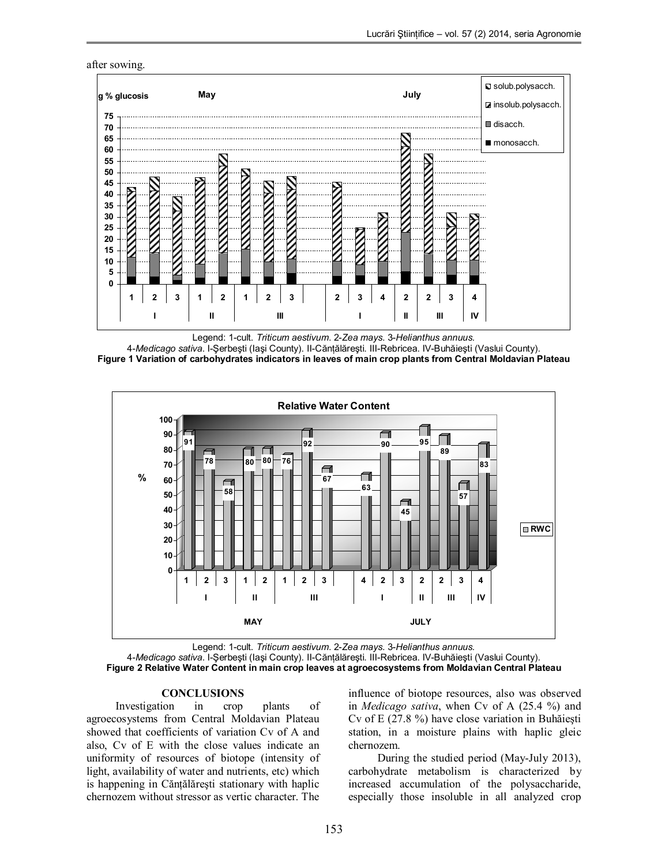

Legend: 1-cult. *Triticum aestivum*. 2-*Zea mays*. 3-*Helianthus annuus.*

4-*Medicago sativa*. I-Şerbeşti (Iaşi County). II-Cănţălăreşti. III-Rebricea. IV-Buhăieşti (Vaslui County). **Figure 1 Variation of carbohydrates indicators in leaves of main crop plants from Central Moldavian Plateau**



Legend: 1-cult. *Triticum aestivum*. 2-*Zea mays*. 3-*Helianthus annuus.* 4-*Medicago sativa*. I-Şerbeşti (Iaşi County). II-Cănţălăreşti. III-Rebricea. IV-Buhăieşti (Vaslui County). **Figure 2 Relative Water Content in main crop leaves at agroecosystems from Moldavian Central Plateau**

## **CONCLUSIONS**

Investigation in crop plants of agroecosystems from Central Moldavian Plateau showed that coefficients of variation Cv of A and also, Cv of E with the close values indicate an uniformity of resources of biotope (intensity of light, availability of water and nutrients, etc) which is happening in Cănţălăreşti stationary with haplic chernozem without stressor as vertic character. The influence of biotope resources, also was observed in *Medicago sativa*, when Cv of A (25.4 %) and Cv of E (27.8 %) have close variation in Buhăieşti station, in a moisture plains with haplic gleic chernozem.

During the studied period (May-July 2013), carbohydrate metabolism is characterized by increased accumulation of the polysaccharide, especially those insoluble in all analyzed crop